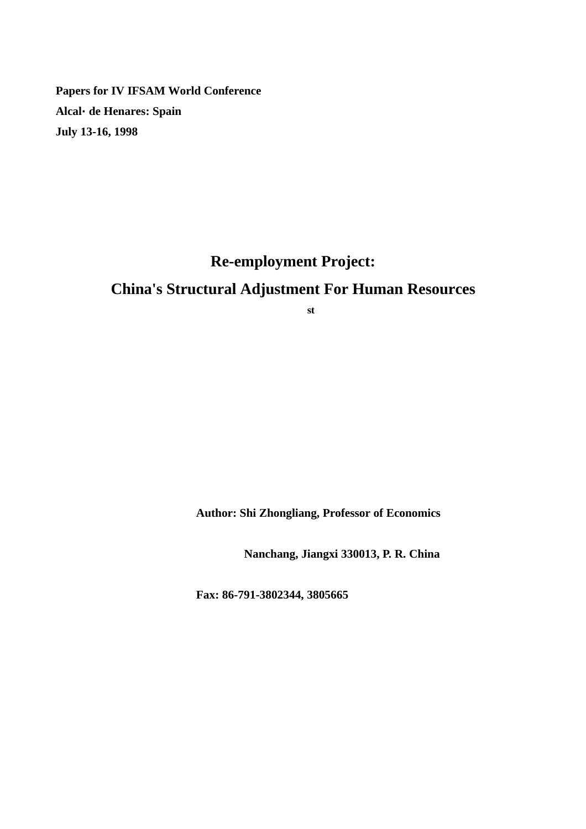**Papers for IV IFSAM World Conference Alcalá de Henares: Spain July 13-16, 1998**

# **Re-employment Project: China's Structural Adjustment For Human Resources**

**st**

**Author: Shi Zhongliang, Professor of Economics**

**Nanchang, Jiangxi 330013, P. R. China**

**Fax: 86-791-3802344, 3805665**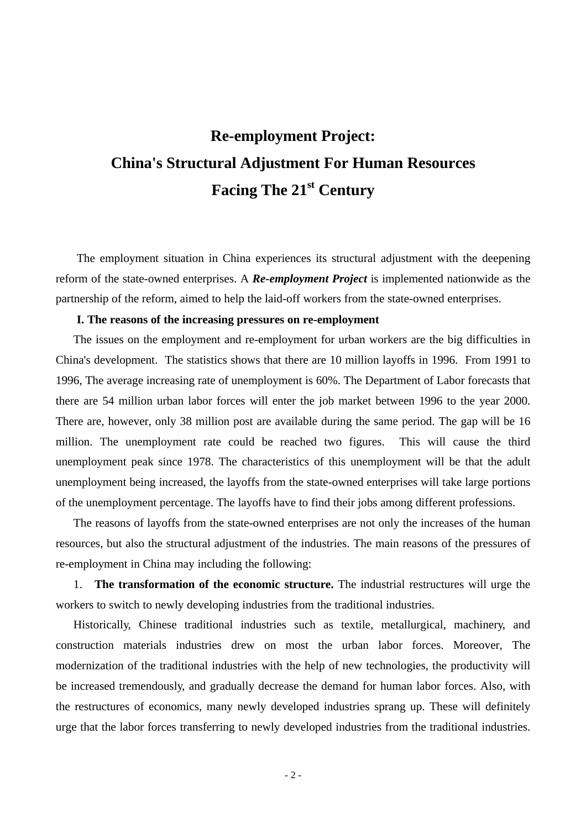## **Re-employment Project: China's Structural Adjustment For Human Resources Facing The 21st Century**

The employment situation in China experiences its structural adjustment with the deepening reform of the state-owned enterprises. A *Re-employment Project* is implemented nationwide as the partnership of the reform, aimed to help the laid-off workers from the state-owned enterprises.

#### **I. The reasons of the increasing pressures on re-employment**

The issues on the employment and re-employment for urban workers are the big difficulties in China's development. The statistics shows that there are 10 million layoffs in 1996. From 1991 to 1996, The average increasing rate of unemployment is 60%. The Department of Labor forecasts that there are 54 million urban labor forces will enter the job market between 1996 to the year 2000. There are, however, only 38 million post are available during the same period. The gap will be 16 million. The unemployment rate could be reached two figures. This will cause the third unemployment peak since 1978. The characteristics of this unemployment will be that the adult unemployment being increased, the layoffs from the state-owned enterprises will take large portions of the unemployment percentage. The layoffs have to find their jobs among different professions.

The reasons of layoffs from the state-owned enterprises are not only the increases of the human resources, but also the structural adjustment of the industries. The main reasons of the pressures of re-employment in China may including the following:

1. **The transformation of the economic structure.** The industrial restructures will urge the workers to switch to newly developing industries from the traditional industries.

Historically, Chinese traditional industries such as textile, metallurgical, machinery, and construction materials industries drew on most the urban labor forces. Moreover, The modernization of the traditional industries with the help of new technologies, the productivity will be increased tremendously, and gradually decrease the demand for human labor forces. Also, with the restructures of economics, many newly developed industries sprang up. These will definitely urge that the labor forces transferring to newly developed industries from the traditional industries.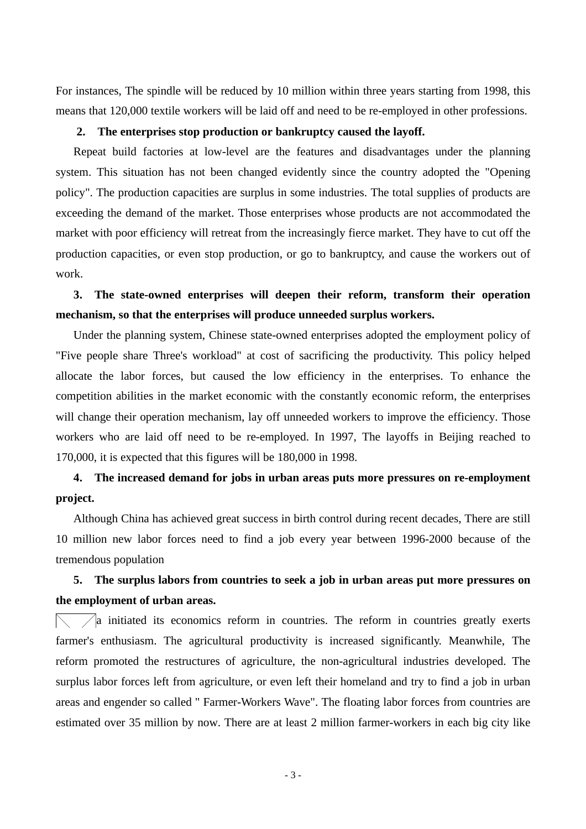For instances, The spindle will be reduced by 10 million within three years starting from 1998, this means that 120,000 textile workers will be laid off and need to be re-employed in other professions.

#### **2. The enterprises stop production or bankruptcy caused the layoff.**

Repeat build factories at low-level are the features and disadvantages under the planning system. This situation has not been changed evidently since the country adopted the "Opening policy". The production capacities are surplus in some industries. The total supplies of products are exceeding the demand of the market. Those enterprises whose products are not accommodated the market with poor efficiency will retreat from the increasingly fierce market. They have to cut off the production capacities, or even stop production, or go to bankruptcy, and cause the workers out of work.

**3. The state-owned enterprises will deepen their reform, transform their operation mechanism, so that the enterprises will produce unneeded surplus workers.**

Under the planning system, Chinese state-owned enterprises adopted the employment policy of "Five people share Three's workload" at cost of sacrificing the productivity. This policy helped allocate the labor forces, but caused the low efficiency in the enterprises. To enhance the competition abilities in the market economic with the constantly economic reform, the enterprises will change their operation mechanism, lay off unneeded workers to improve the efficiency. Those workers who are laid off need to be re-employed. In 1997, The layoffs in Beijing reached to 170,000, it is expected that this figures will be 180,000 in 1998.

## **4. The increased demand for jobs in urban areas puts more pressures on re-employment project.**

Although China has achieved great success in birth control during recent decades, There are still 10 million new labor forces need to find a job every year between 1996-2000 because of the tremendous population

## **5. The surplus labors from countries to seek a job in urban areas put more pressures on the employment of urban areas.**

 $\sqrt{\phantom{a}}$  initiated its economics reform in countries. The reform in countries greatly exerts farmer's enthusiasm. The agricultural productivity is increased significantly. Meanwhile, The reform promoted the restructures of agriculture, the non-agricultural industries developed. The surplus labor forces left from agriculture, or even left their homeland and try to find a job in urban areas and engender so called " Farmer-Workers Wave". The floating labor forces from countries are estimated over 35 million by now. There are at least 2 million farmer-workers in each big city like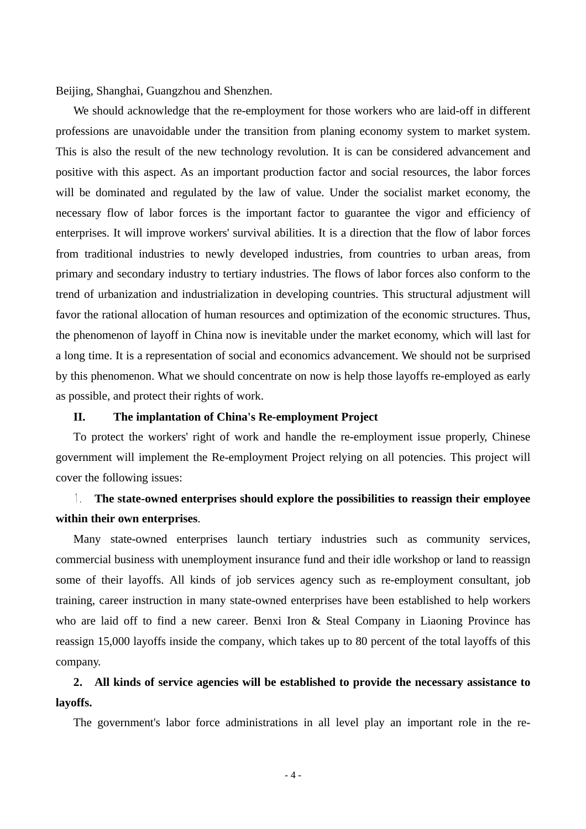Beijing, Shanghai, Guangzhou and Shenzhen.

We should acknowledge that the re-employment for those workers who are laid-off in different professions are unavoidable under the transition from planing economy system to market system. This is also the result of the new technology revolution. It is can be considered advancement and positive with this aspect. As an important production factor and social resources, the labor forces will be dominated and regulated by the law of value. Under the socialist market economy, the necessary flow of labor forces is the important factor to guarantee the vigor and efficiency of enterprises. It will improve workers' survival abilities. It is a direction that the flow of labor forces from traditional industries to newly developed industries, from countries to urban areas, from primary and secondary industry to tertiary industries. The flows of labor forces also conform to the trend of urbanization and industrialization in developing countries. This structural adjustment will favor the rational allocation of human resources and optimization of the economic structures. Thus, the phenomenon of layoff in China now is inevitable under the market economy, which will last for a long time. It is a representation of social and economics advancement. We should not be surprised by this phenomenon. What we should concentrate on now is help those layoffs re-employed as early as possible, and protect their rights of work.

#### **II. The implantation of China's Re-employment Project**

To protect the workers' right of work and handle the re-employment issue properly, Chinese government will implement the Re-employment Project relying on all potencies. This project will cover the following issues:

### **The state-owned enterprises should explore the possibilities to reassign their employee within their own enterprises**.

Many state-owned enterprises launch tertiary industries such as community services, commercial business with unemployment insurance fund and their idle workshop or land to reassign some of their layoffs. All kinds of job services agency such as re-employment consultant, job training, career instruction in many state-owned enterprises have been established to help workers who are laid off to find a new career. Benxi Iron & Steal Company in Liaoning Province has reassign 15,000 layoffs inside the company, which takes up to 80 percent of the total layoffs of this company.

## **2. All kinds of service agencies will be established to provide the necessary assistance to layoffs.**

The government's labor force administrations in all level play an important role in the re-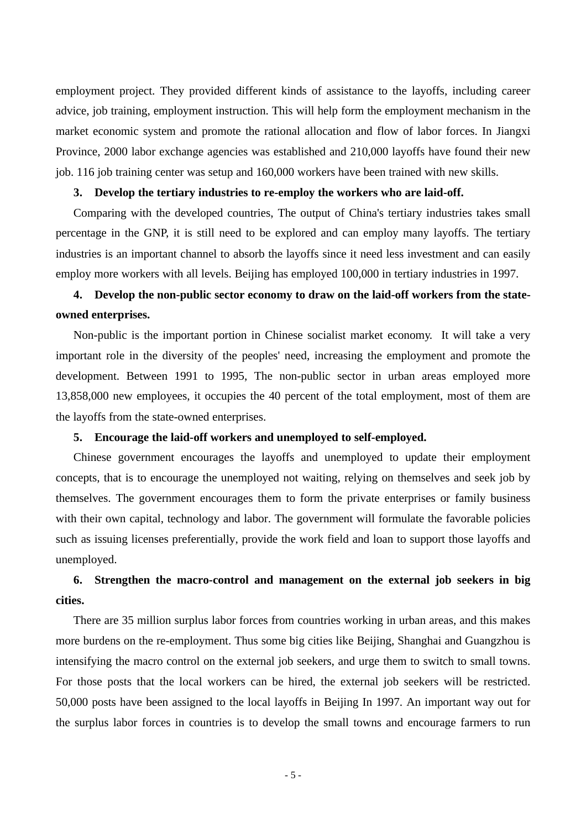employment project. They provided different kinds of assistance to the layoffs, including career advice, job training, employment instruction. This will help form the employment mechanism in the market economic system and promote the rational allocation and flow of labor forces. In Jiangxi Province, 2000 labor exchange agencies was established and 210,000 layoffs have found their new job. 116 job training center was setup and 160,000 workers have been trained with new skills.

#### **3. Develop the tertiary industries to re-employ the workers who are laid-off.**

Comparing with the developed countries, The output of China's tertiary industries takes small percentage in the GNP, it is still need to be explored and can employ many layoffs. The tertiary industries is an important channel to absorb the layoffs since it need less investment and can easily employ more workers with all levels. Beijing has employed 100,000 in tertiary industries in 1997.

## **4. Develop the non-public sector economy to draw on the laid-off workers from the stateowned enterprises.**

Non-public is the important portion in Chinese socialist market economy. It will take a very important role in the diversity of the peoples' need, increasing the employment and promote the development. Between 1991 to 1995, The non-public sector in urban areas employed more 13,858,000 new employees, it occupies the 40 percent of the total employment, most of them are the layoffs from the state-owned enterprises.

#### **5. Encourage the laid-off workers and unemployed to self-employed.**

Chinese government encourages the layoffs and unemployed to update their employment concepts, that is to encourage the unemployed not waiting, relying on themselves and seek job by themselves. The government encourages them to form the private enterprises or family business with their own capital, technology and labor. The government will formulate the favorable policies such as issuing licenses preferentially, provide the work field and loan to support those layoffs and unemployed.

## **6. Strengthen the macro-control and management on the external job seekers in big cities.**

There are 35 million surplus labor forces from countries working in urban areas, and this makes more burdens on the re-employment. Thus some big cities like Beijing, Shanghai and Guangzhou is intensifying the macro control on the external job seekers, and urge them to switch to small towns. For those posts that the local workers can be hired, the external job seekers will be restricted. 50,000 posts have been assigned to the local layoffs in Beijing In 1997. An important way out for the surplus labor forces in countries is to develop the small towns and encourage farmers to run